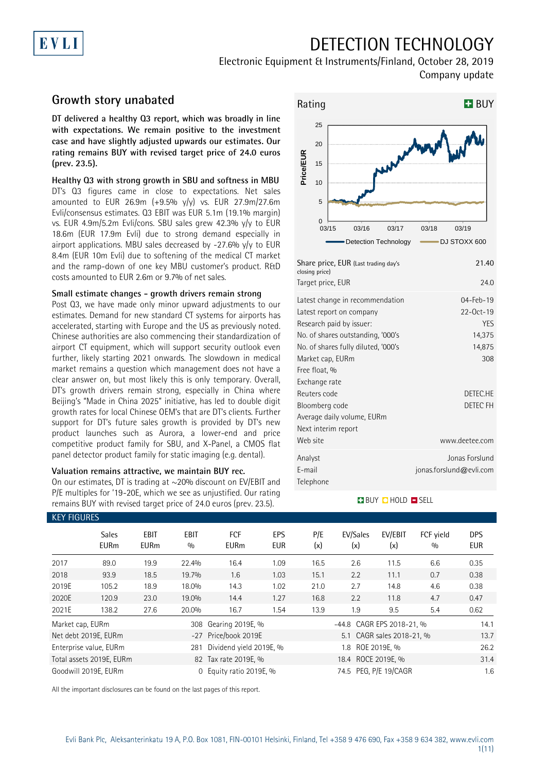## EVLI

## DETECTION TECHNOLOGY

Electronic Equipment & Instruments/Finland, October 28, 2019 Company update

### **Growth story unabated**

**DT delivered a healthy Q3 report, which was broadly in line with expectations. We remain positive to the investment case and have slightly adjusted upwards our estimates. Our rating remains BUY with revised target price of 24.0 euros (prev. 23.5).**

**Healthy Q3 with strong growth in SBU and softness in MBU** DT's Q3 figures came in close to expectations. Net sales amounted to EUR 26.9m  $(+9.5\% \text{ y/y})$  vs. EUR 27.9m/27.6m Evli/consensus estimates. Q3 EBIT was EUR 5.1m (19.1% margin) vs. EUR 4.9m/5.2m Evli/cons. SBU sales grew 42.3% y/y to EUR 18.6m (EUR 17.9m Evli) due to strong demand especially in airport applications. MBU sales decreased by  $-27.6\%$  y/y to EUR 8.4m (EUR 10m Evli) due to softening of the medical CT market and the ramp-down of one key MBU customer's product. R&D costs amounted to EUR 2.6m or 9.7% of net sales.

### **Small estimate changes - growth drivers remain strong**

Post Q3, we have made only minor upward adjustments to our estimates. Demand for new standard CT systems for airports has accelerated, starting with Europe and the US as previously noted. Chinese authorities are also commencing their standardization of airport CT equipment, which will support security outlook even further, likely starting 2021 onwards. The slowdown in medical market remains a question which management does not have a clear answer on, but most likely this is only temporary. Overall, DT's growth drivers remain strong, especially in China where Beijing's "Made in China 2025" initiative, has led to double digit growth rates for local Chinese OEM's that are DT's clients. Further support for DT's future sales growth is provided by DT's new product launches such as Aurora, a lower-end and price competitive product family for SBU, and X-Panel, a CMOS flat panel detector product family for static imaging (e.g. dental).

#### **Valuation remains attractive, we maintain BUY rec.**

On our estimates, DT is trading at ~20% discount on EV/EBIT and P/E multiples for '19-20E, which we see as unjustified. Our rating remains BUY with revised target price of 24.0 euros (prev. 23.5).



| Share price, EUR (Last trading day's<br>closing price)                                                                                                                                                                                                                                    | 21.40                                                                                         |
|-------------------------------------------------------------------------------------------------------------------------------------------------------------------------------------------------------------------------------------------------------------------------------------------|-----------------------------------------------------------------------------------------------|
| Target price, EUR                                                                                                                                                                                                                                                                         | 24.0                                                                                          |
| Latest change in recommendation<br>Latest report on company<br>Research paid by issuer:<br>No. of shares outstanding, '000's<br>No. of shares fully diluted, '000's<br>Market cap, EURm<br>Free float, %<br>Exchange rate<br>Reuters code<br>Bloomberg code<br>Average daily volume, EURm | $04 - Feb - 19$<br>22-0ct-19<br><b>YES</b><br>14,375<br>14,875<br>308<br>DETEC.HE<br>DETEC FH |
| Next interim report<br>Web site                                                                                                                                                                                                                                                           | www.deetee.com                                                                                |
| Analyst<br>E-mail<br>Telephone                                                                                                                                                                                                                                                            | Jonas Forslund<br>jonas.forslund@evli.com                                                     |

### **BUY QHOLD SELL**

| <b>KEY FIGURES</b> |                             |                            |                    |                           |                   |            |                           |                           |                  |                          |
|--------------------|-----------------------------|----------------------------|--------------------|---------------------------|-------------------|------------|---------------------------|---------------------------|------------------|--------------------------|
|                    | <b>Sales</b><br><b>EURm</b> | <b>EBIT</b><br><b>EURm</b> | <b>EBIT</b><br>0/0 | <b>FCF</b><br><b>EURm</b> | EPS<br><b>EUR</b> | P/E<br>(x) | EV/Sales<br>(x)           | EV/EBIT<br>(x)            | FCF yield<br>0/0 | <b>DPS</b><br><b>EUR</b> |
| 2017               | 89.0                        | 19.9                       | 22.4%              | 16.4                      | 1.09              | 16.5       | 2.6                       | 11.5                      | 6.6              | 0.35                     |
| 2018               | 93.9                        | 18.5                       | 19.7%              | 1.6                       | 1.03              | 15.1       | 2.2                       | 11.1                      | 0.7              | 0.38                     |
| 2019E              | 105.2                       | 18.9                       | 18.0%              | 14.3                      | 1.02              | 21.0       | 2.7                       | 14.8                      | 4.6              | 0.38                     |
| 2020E              | 120.9                       | 23.0                       | 19.0%              | 14.4                      | 1.27              | 16.8       | 2.2                       | 11.8                      | 4.7              | 0.47                     |
| 2021E              | 138.2                       | 27.6                       | 20.0%              | 16.7                      | 1.54              | 13.9       | 1.9                       | 9.5                       | 5.4              | 0.62                     |
| Market cap, EURm   |                             |                            | 308                | Gearing 2019E, %          |                   |            | -44.8 CAGR EPS 2018-21, % |                           |                  | 14.1                     |
|                    | Net debt 2019E, EURm        |                            |                    | -27 Price/book 2019E      |                   |            |                           | 5.1 CAGR sales 2018-21, % |                  | 13.7                     |
|                    | Enterprise value, EURm      |                            | 281                | Dividend yield 2019E, %   |                   |            | 1.8 ROE 2019E, %          |                           |                  | 26.2                     |
|                    | Total assets 2019E, EURm    |                            |                    | 82 Tax rate 2019E, %      |                   |            | 18.4 ROCE 2019E, %        |                           |                  | 31.4                     |
|                    | Goodwill 2019E, EURm        |                            | $\Omega$           | Equity ratio 2019E, %     |                   |            | 74.5 PEG. P/E 19/CAGR     |                           |                  | 1.6                      |

All the important disclosures can be found on the last pages of this report.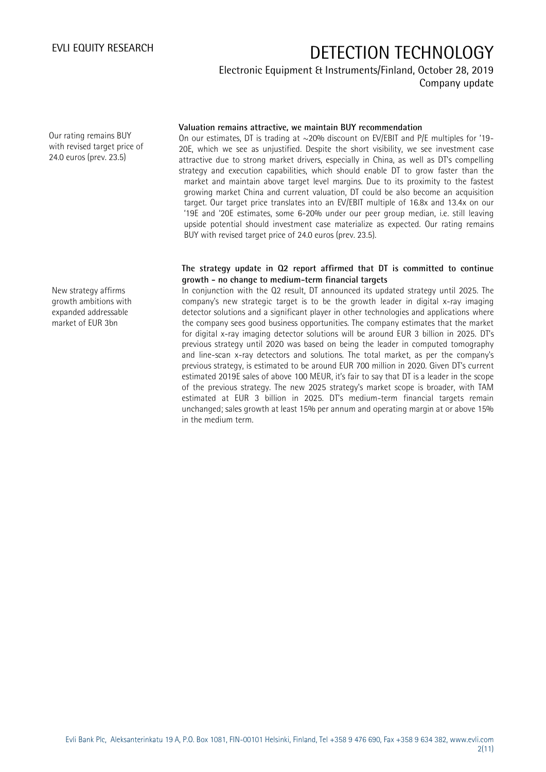Electronic Equipment & Instruments/Finland, October 28, 2019 Company update

Our rating remains BUY with revised target price of 24.0 euros (prev. 23.5)

New strategy affirms growth ambitions with expanded addressable market of EUR 3bn

### **Valuation remains attractive, we maintain BUY recommendation**

On our estimates, DT is trading at  $\sim$ 20% discount on EV/EBIT and P/E multiples for '19-20E, which we see as unjustified. Despite the short visibility, we see investment case attractive due to strong market drivers, especially in China, as well as DT's compelling strategy and execution capabilities, which should enable DT to grow faster than the market and maintain above target level margins. Due to its proximity to the fastest growing market China and current valuation, DT could be also become an acquisition target. Our target price translates into an EV/EBIT multiple of 16.8x and 13.4x on our '19E and '20E estimates, some 6-20% under our peer group median, i.e. still leaving upside potential should investment case materialize as expected. Our rating remains BUY with revised target price of 24.0 euros (prev. 23.5).

### **The strategy update in Q2 report affirmed that DT is committed to continue growth - no change to medium-term financial targets**

In conjunction with the Q2 result, DT announced its updated strategy until 2025. The company's new strategic target is to be the growth leader in digital x-ray imaging detector solutions and a significant player in other technologies and applications where the company sees good business opportunities. The company estimates that the market for digital x-ray imaging detector solutions will be around EUR 3 billion in 2025. DT's previous strategy until 2020 was based on being the leader in computed tomography and line-scan x-ray detectors and solutions. The total market, as per the company's previous strategy, is estimated to be around EUR 700 million in 2020. Given DT's current estimated 2019E sales of above 100 MEUR, it's fair to say that DT is a leader in the scope of the previous strategy. The new 2025 strategy's market scope is broader, with TAM estimated at EUR 3 billion in 2025. DT's medium-term financial targets remain unchanged; sales growth at least 15% per annum and operating margin at or above 15% in the medium term.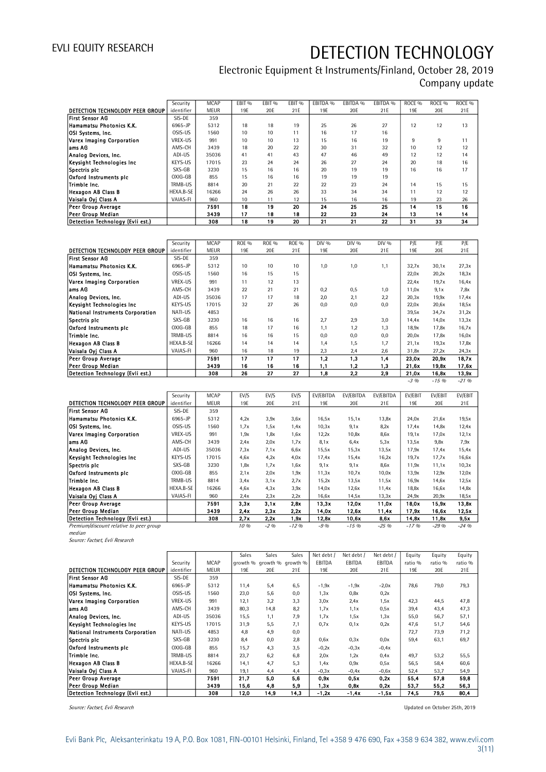### Electronic Equipment & Instruments/Finland, October 28, 2019 Company update

|                                  | Security   | <b>MCAP</b> | FBIT <sub>%</sub> | EBIT <sub>%</sub> | FBIT <sub>%</sub> | FBITDA % | EBITDA % | FBITDA % | ROCE <sub>%</sub> | ROCE <sub>%</sub> | ROCE <sub>%</sub> |
|----------------------------------|------------|-------------|-------------------|-------------------|-------------------|----------|----------|----------|-------------------|-------------------|-------------------|
| DETECTION TECHNOLOGY PEER GROUP  | identifier | <b>MEUR</b> | 19F               | 20F               | 21E               | 19F      | 20E      | 21E      | 19F               | 20F               | 21E               |
| First Sensor AG                  | SIS-DE     | 359         |                   |                   |                   |          |          |          |                   |                   |                   |
| Hamamatsu Photonics K.K.         | 6965-JP    | 5312        | 18                | 18                | 19                | 25       | 26       | 27       | 12                | 12                | 13                |
| OSI Systems, Inc.                | OSIS-US    | 1560        | 10                | 10                | 11                | 16       | 17       | 16       |                   |                   |                   |
| Varex Imaging Corporation        | VREX-US    | 991         | 10                | 10                | 13                | 15       | 16       | 19       | 9                 | 9                 | 11                |
| lams AG                          | AMS-CH     | 3439        | 18                | 20                | 22                | 30       | 31       | 32       | 10                | 12                | 12                |
| Analog Devices, Inc.             | ADI-US     | 35036       | 41                | 41                | 43                | 47       | 46       | 49       | 12                | 12                | 14                |
| Keysight Technologies Inc        | KEYS-US    | 17015       | 23                | 24                | 24                | 26       | 27       | 24       | 20                | 18                | 16                |
| Spectris plc                     | SXS-GB     | 3230        | 15                | 16                | 16                | 20       | 19       | 19       | 16                | 16                | 17                |
| Oxford Instruments plc           | OXIG-GB    | 855         | 15                | 16                | 16                | 19       | 19       | 19       |                   |                   |                   |
| Trimble Inc.                     | TRMB-US    | 8814        | 20                | 21                | 22                | 22       | 23       | 24       | 14                | 15                | 15                |
| Hexagon AB Class B               | HEXA.B-SE  | 16266       | 24                | 26                | 26                | 33       | 34       | 34       | 11                | 12                | 12                |
| Vaisala Oyi Class A              | VAIAS-FI   | 960         | 10                | 11                | 12                | 15       | 16       | 16       | 19                | 23                | 26                |
| Peer Group Average               |            | 7591        | 18                | 19                | 20                | 24       | 25       | 25       | 14                | 15                | 16                |
| Peer Group Median                |            | 3439        | 17                | 18                | 18                | 22       | 23       | 24       | 13                | 14                | 14                |
| Detection Technology (Evli est.) |            | 308         | 18                | 19                | 20                | 21       | 21       | 22       | 31                | 33                | 34                |

|                                  | Security   | <b>MCAP</b> | <b>ROE %</b> | <b>ROE %</b> | ROE % | DIV % | DIV % | DIV % | P/E    | P/E    | P/E      |
|----------------------------------|------------|-------------|--------------|--------------|-------|-------|-------|-------|--------|--------|----------|
| DETECTION TECHNOLOGY PEER GROUP  | identifier | <b>MEUR</b> | 19F          | 20E          | 21E   | 19E   | 20E   | 21E   | 19F    | 20E    | 21F      |
| <b>First Sensor AG</b>           | SIS-DE     | 359         |              |              |       |       |       |       |        |        |          |
| Hamamatsu Photonics K.K.         | 6965-JP    | 5312        | 10           | 10           | 10    | 1.0   | 1,0   | 1,1   | 32,7x  | 30,1x  | 27,3x    |
| OSI Systems, Inc.                | OSIS-US    | 1560        | 16           | 15           | 15    |       |       |       | 22,0x  | 20,2x  | 18,3x    |
| Varex Imaging Corporation        | VREX-US    | 991         | 11           | 12           | 13    |       |       |       | 22.4x  | 19.7x  | 16,4x    |
| ams AG                           | AMS-CH     | 3439        | 22           | 21           | 21    | 0.2   | 0,5   | 1,0   | 11,0x  | 9.1x   | 7,8x     |
| Analog Devices, Inc.             | ADI-US     | 35036       | 17           | 17           | 18    | 2.0   | 2,1   | 2,2   | 20,3x  | 19,9x  | 17,4x    |
| Keysight Technologies Inc        | KEYS-US    | 17015       | 32           | 27           | 26    | 0.0   | 0,0   | 0,0   | 22,0x  | 20.6x  | 18,5x    |
| National Instruments Corporation | NATI-US    | 4853        |              |              |       |       |       |       | 39,5x  | 34,7x  | 31,2x    |
| Spectris plc                     | SXS-GB     | 3230        | 16           | 16           | 16    | 2.7   | 2,9   | 3,0   | 14.4x  | 14,0x  | 13,3x    |
| Oxford Instruments pic           | OXIG-GB    | 855         | 18           | 17           | 16    | 1.1   | 1,2   | 1,3   | 18,9x  | 17,8x  | 16,7x    |
| Trimble Inc.                     | TRMB-US    | 8814        | 16           | 16           | 15    | 0.0   | 0,0   | 0,0   | 20,0x  | 17,8x  | 16,0x    |
| Hexagon AB Class B               | HEXA.B-SE  | 16266       | 14           | 14           | 14    | 1.4   | 1,5   | 1.7   | 21,1x  | 19,3x  | 17,8x    |
| Vaisala Ovi Class A              | VAIAS-FI   | 960         | 16           | 18           | 19    | 2,3   | 2,4   | 2,6   | 31,8x  | 27,2x  | 24,3x    |
| <b>Peer Group Average</b>        |            | 7591        | 17           | 17           | 17    | 1,2   | 1,3   | 1,4   | 23,0x  | 20,9x  | 18.7x    |
| Peer Group Median                |            | 3439        | 16           | 16           | 16    | 1,1   | 1,2   | 1,3   | 21.6x  | 19,8x  | 17.6x    |
| Detection Technology (Evli est.) |            | 308         | 26           | 27           | 27    | 1,8   | 2,2   | 2,9   | 21,0x  | 16,8x  | 13.9x    |
|                                  |            |             |              |              |       |       |       |       | $-3\%$ | $-15%$ | $-21.96$ |

|                                         | Security   | <b>MCAP</b> | EV/S | EV/S   | EV/S   | EV/EBITDA | EV/EBITDA | EV/EBITDA | EV/EBIT  | EV/EBIT  | EV/EBIT  |
|-----------------------------------------|------------|-------------|------|--------|--------|-----------|-----------|-----------|----------|----------|----------|
| DETECTION TECHNOLOGY PEER GROUP         | identifier | <b>MEUR</b> | 19E  | 20E    | 21E    | 19E       | 20E       | 21E       | 19E      | 20E      | 21E      |
| <b>First Sensor AG</b>                  | SIS-DE     | 359         |      |        |        |           |           |           |          |          |          |
| Hamamatsu Photonics K.K.                | 6965-JP    | 5312        | 4,2x | 3,9x   | 3,6x   | 16,5x     | 15,1x     | 13,8x     | 24,0x    | 21,6x    | 19,5x    |
| OSI Systems, Inc.                       | OSIS-US    | 1560        | 1,7x | 1,5x   | 1.4x   | 10,3x     | 9.1x      | 8,2x      | 17,4x    | 14,8x    | 12,4x    |
| Varex Imaging Corporation               | VREX-US    | 991         | 1,9x | 1,8x   | 1,6x   | 12,2x     | 10,8x     | 8,6x      | 19,1x    | 17,0x    | 12,1x    |
| lams AG                                 | AMS-CH     | 3439        | 2.4x | 2,0x   | 1,7x   | 8.1x      | 6.4x      | 5,3x      | 13,5x    | 9,8x     | 7,9x     |
| Analog Devices, Inc.                    | ADI-US     | 35036       | 7.3x | 7.1x   | 6,6x   | 15,5x     | 15,3x     | 13,5x     | 17,9x    | 17,4x    | 15,4x    |
| Keysight Technologies Inc               | KEYS-US    | 17015       | 4.6x | 4,2x   | 4.0x   | 17,4x     | 15,4x     | 16,2x     | 19,7x    | 17,7x    | 16,6x    |
| Spectris plc                            | SXS-GB     | 3230        | 1,8x | 1,7x   | 1,6x   | 9.1x      | 9,1x      | 8,6x      | 11,9x    | 11,1x    | 10,3x    |
| Oxford Instruments plc                  | OXIG-GB    | 855         | 2.1x | 2.0x   | 1,9x   | 11,3x     | 10,7x     | 10,0x     | 13,9x    | 12,9x    | 12,0x    |
| Trimble Inc.                            | TRMB-US    | 8814        | 3.4x | 3,1x   | 2.7x   | 15,2x     | 13,5x     | 11,5x     | 16,9x    | 14,6x    | 12,5x    |
| <b>Hexagon AB Class B</b>               | HEXA.B-SE  | 16266       | 4.6x | 4.3x   | 3,9x   | 14,0x     | 12,6x     | 11,4x     | 18,8x    | 16,6x    | 14,8x    |
| Vaisala Oyj Class A                     | VAIAS-FI   | 960         | 2.4x | 2,3x   | 2.2x   | 16,6x     | 14,5x     | 13,3x     | 24.9x    | 20,9x    | 18,5x    |
| Peer Group Average                      |            | 7591        | 3,3x | 3.1x   | 2.8x   | 13,3x     | 12,0x     | 11.0x     | 18,0x    | 15.9x    | 13.8x    |
| Peer Group Median                       |            | 3439        | 2.4x | 2,3x   | 2,2x   | 14,0x     | 12,6x     | 11.4x     | 17,9x    | 16,6x    | 12.5x    |
| Detection Technology (Evli est.)        |            | 308         | 2.7x | 2,2x   | 1.9x   | 12,8x     | 10,6x     | 8,6x      | 14,8x    | 11.8x    | 9,5x     |
| Premium/discount relative to peer group |            |             | 10 % | $-2\%$ | $-12%$ | -9 %      | $-15%$    | $-25.96$  | $-17.96$ | $-29.96$ | $-24.96$ |

Premium/discount relative to peer group median

Source: Factset, Evli Research

|                                         |            |             | Sales    | Sales | Sales             | Net debt / | Net debt / | Net debt / | Equity  | Equity  | Equity  |
|-----------------------------------------|------------|-------------|----------|-------|-------------------|------------|------------|------------|---------|---------|---------|
|                                         | Security   | <b>MCAP</b> | arowth % |       | growth % growth % | EBITDA     | EBITDA     | EBITDA     | ratio % | ratio % | ratio % |
| DETECTION TECHNOLOGY PEER GROUP         | identifier | <b>MEUR</b> | 19E      | 20E   | 21E               | 19E        | 20E        | 21E        | 19F     | 20E     | 21E     |
| <b>IFirst Sensor AG</b>                 | SIS-DE     | 359         |          |       |                   |            |            |            |         |         |         |
| Hamamatsu Photonics K.K.                | 6965-JP    | 5312        | 11,4     | 5,4   | 6,5               | $-1,9x$    | $-1,9x$    | $-2,0x$    | 78,6    | 79,0    | 79,3    |
| OSI Systems, Inc.                       | OSIS-US    | 1560        | 23,0     | 5,6   | 0,0               | 1,3x       | 0,8x       | 0,2x       |         |         |         |
| Varex Imaging Corporation               | VREX-US    | 991         | 12,1     | 3,2   | 3,3               | 3,0x       | 2.4x       | 1,5x       | 42,3    | 44,5    | 47,8    |
| ams AG                                  | AMS-CH     | 3439        | 80,3     | 14,8  | 8,2               | 1,7x       | 1,1x       | 0,5x       | 39,4    | 43,4    | 47,3    |
| Analog Devices, Inc.                    | ADI-US     | 35036       | 15,5     | 1,1   | 7,9               | 1,7x       | 1,5x       | 1,3x       | 55,0    | 56,7    | 57,1    |
| Keysight Technologies Inc               | KEYS-US    | 17015       | 31,9     | 5,5   | 7,1               | 0.7x       | 0.1x       | 0,2x       | 47,6    | 51,7    | 54,6    |
| <b>National Instruments Corporation</b> | NATI-US    | 4853        | 4,8      | 4,9   | 0,0               |            |            |            | 72,7    | 73,9    | 71,2    |
| Spectris plc                            | SXS-GB     | 3230        | 8,4      | 0,0   | 2,8               | 0,6x       | 0.3x       | 0,0x       | 59,4    | 63,1    | 69,7    |
| Oxford Instruments pic                  | OXIG-GB    | 855         | 15,7     | 4,3   | 3,5               | $-0,2x$    | $-0,3x$    | $-0.4x$    |         |         |         |
| Trimble Inc.                            | TRMB-US    | 8814        | 23,7     | 6,2   | 6,8               | 2,0x       | 1,2x       | 0.4x       | 49.7    | 53,2    | 55,5    |
| Hexagon AB Class B                      | HEXA.B-SE  | 16266       | 14,1     | 4,7   | 5,3               | 1.4x       | 0.9x       | 0,5x       | 56,5    | 58,4    | 60,6    |
| Vaisala Oyj Class A                     | VAIAS-FI   | 960         | 19,1     | 4,4   | 4,4               | $-0,3x$    | $-0,4x$    | $-0,6x$    | 52,4    | 53,7    | 54,9    |
| <b>Peer Group Average</b>               |            | 7591        | 21,7     | 5.0   | 5.6               | 0.9x       | 0.5x       | 0.2x       | 55.4    | 57.8    | 59,8    |
| Peer Group Median                       |            | 3439        | 15,6     | 4,8   | 5,9               | 1,3x       | 0,8x       | 0,2x       | 53.7    | 55.2    | 56,3    |
| Detection Technology (Evli est.)        |            | 308         | 12.0     | 14.9  | 14,3              | $-1,2x$    | -1,4x      | $-1,5x$    | 74.5    | 79.5    | 80,4    |

Source: Factset, Evli Research 2019 Control of the Source: Factset, Evil Research Updated on October 25th, 2019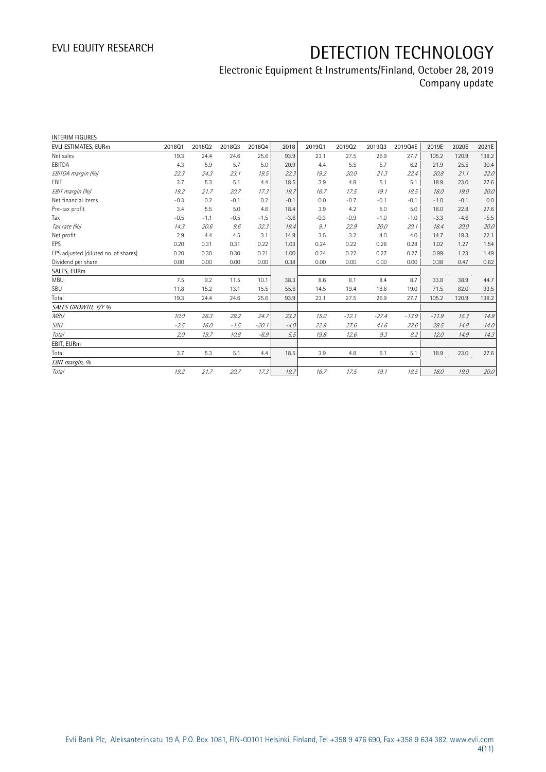## Electronic Equipment & Instruments/Finland, October 28, 2019 Company update

| 201903<br>26.9<br>5.7<br>21.3<br>5.1<br>19.1<br>$-0.1$<br>5.0<br>$-1.0$<br>20.0<br>4.0<br>0.28<br>0.27 | 2019Q4E<br>27.7<br>6.2<br>22.4<br>5.1<br>18.5<br>$-0.1$<br>5.0<br>$-1.0$<br>20.1<br>4.0<br>0.28 | 2019E<br>105.2<br>21.9<br>20.8<br>18.9<br>18.0<br>$-1.0$<br>18.0<br>$-3.3$<br>18.4<br>14.7<br>1.02 | 2020E<br>120.9<br>25.5<br>21.1<br>23.0<br>19.0<br>$-0.1$<br>22.8<br>$-4.6$<br>20.0<br>18.3<br>1.27 | 2021E<br>138.2<br>30.4<br>22.0<br>27.6<br>20.0<br>0.0<br>27.6<br>$-5.5$<br>20.0<br>22.1<br>1.54 |
|--------------------------------------------------------------------------------------------------------|-------------------------------------------------------------------------------------------------|----------------------------------------------------------------------------------------------------|----------------------------------------------------------------------------------------------------|-------------------------------------------------------------------------------------------------|
|                                                                                                        |                                                                                                 |                                                                                                    |                                                                                                    |                                                                                                 |
|                                                                                                        |                                                                                                 |                                                                                                    |                                                                                                    |                                                                                                 |
|                                                                                                        |                                                                                                 |                                                                                                    |                                                                                                    |                                                                                                 |
|                                                                                                        |                                                                                                 |                                                                                                    |                                                                                                    |                                                                                                 |
|                                                                                                        |                                                                                                 |                                                                                                    |                                                                                                    |                                                                                                 |
|                                                                                                        |                                                                                                 |                                                                                                    |                                                                                                    |                                                                                                 |
|                                                                                                        |                                                                                                 |                                                                                                    |                                                                                                    |                                                                                                 |
|                                                                                                        |                                                                                                 |                                                                                                    |                                                                                                    |                                                                                                 |
|                                                                                                        |                                                                                                 |                                                                                                    |                                                                                                    |                                                                                                 |
|                                                                                                        |                                                                                                 |                                                                                                    |                                                                                                    |                                                                                                 |
|                                                                                                        |                                                                                                 |                                                                                                    |                                                                                                    |                                                                                                 |
|                                                                                                        |                                                                                                 |                                                                                                    |                                                                                                    |                                                                                                 |
|                                                                                                        | 0.27                                                                                            | 0.99                                                                                               | 1.23                                                                                               | 1.49                                                                                            |
| 0.00                                                                                                   | 0.00                                                                                            | 0.38                                                                                               | 0.47                                                                                               | 0.62                                                                                            |
|                                                                                                        |                                                                                                 |                                                                                                    |                                                                                                    |                                                                                                 |
| 8.4                                                                                                    | 8.7                                                                                             | 33.8                                                                                               | 38.9                                                                                               | 44.7                                                                                            |
| 18.6                                                                                                   | 19.0                                                                                            | 71.5                                                                                               | 82.0                                                                                               | 93.5                                                                                            |
| 26.9                                                                                                   | 27.7                                                                                            | 105.2                                                                                              | 120.9                                                                                              | 138.2                                                                                           |
|                                                                                                        |                                                                                                 |                                                                                                    |                                                                                                    |                                                                                                 |
|                                                                                                        |                                                                                                 | $-11.9$                                                                                            | 15.3                                                                                               | 14.9                                                                                            |
|                                                                                                        |                                                                                                 | 28.5                                                                                               | 14.8                                                                                               | 14.0                                                                                            |
|                                                                                                        |                                                                                                 | 12.0                                                                                               | 14.9                                                                                               | 14.3                                                                                            |
|                                                                                                        |                                                                                                 |                                                                                                    |                                                                                                    |                                                                                                 |
| 5.1                                                                                                    | 5.1                                                                                             | 18.9                                                                                               | 23.0                                                                                               | 27.6                                                                                            |
|                                                                                                        |                                                                                                 |                                                                                                    |                                                                                                    |                                                                                                 |
|                                                                                                        |                                                                                                 | 18.0                                                                                               | 19.0                                                                                               | 20.0                                                                                            |
|                                                                                                        |                                                                                                 | $-27.4$<br>41.6<br>9.3<br>19.1                                                                     | $-13.9$<br>22.6<br>8.2<br>18.5                                                                     |                                                                                                 |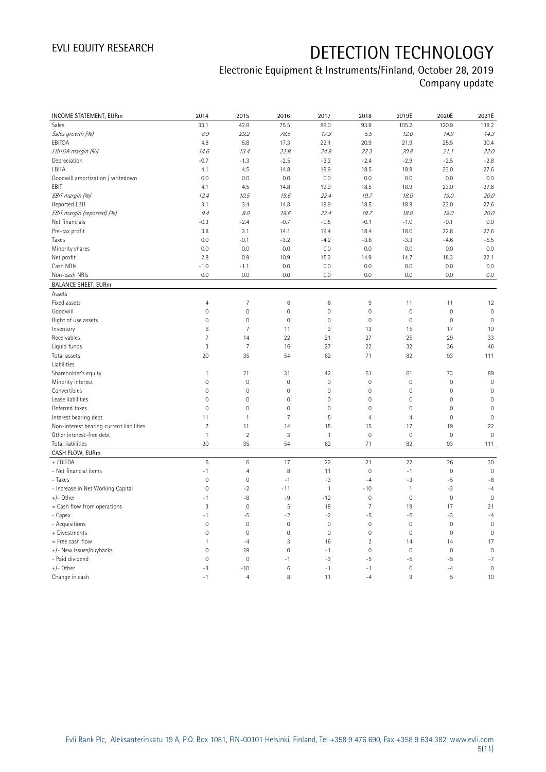## Electronic Equipment & Instruments/Finland, October 28, 2019 Company update

| INCOME STATEMENT, EURm                   | 2014                | 2015           | 2016                | 2017         | 2018                | 2019E               | 2020E       | 2021E          |
|------------------------------------------|---------------------|----------------|---------------------|--------------|---------------------|---------------------|-------------|----------------|
| Sales                                    | 33.1                | 42.8           | 75.5                | 89.0         | 93.9                | 105.2               | 120.9       | 138.2          |
| Sales growth (%)                         | 8.9                 | 29.2           | 76.5                | 17.9         | 5.5                 | 12.0                | 14.9        | 14.3           |
| EBITDA                                   | 4.8                 | 5.8            | 17.3                | 22.1         | 20.9                | 21.9                | 25.5        | 30.4           |
| EBITDA margin (%)                        | 14.6                | 13.4           | 22.9                | 24.9         | 22.3                | 20.8                | 21.1        | 22.0           |
| Depreciation                             | $-0.7$              | $-1.3$         | $-2.5$              | $-2.2$       | $-2.4$              | $-2.9$              | $-2.5$      | $-2.8$         |
| EBITA                                    | 4.1                 | 4.5            | 14.8                | 19.9         | 18.5                | 18.9                | 23.0        | 27.6           |
| Goodwill amortization / writedown        | 0.0                 | 0.0            | 0.0                 | 0.0          | 0.0                 | 0.0                 | 0.0         | 0.0            |
| EBIT                                     | 4.1                 | 4.5            | 14.8                | 19.9         | 18.5                | 18.9                | 23.0        | 27.6           |
| EBIT margin (%)                          | 12.4                | 10.5           | 19.6                | 22.4         | 19.7                | 18.0                | 19.0        | 20.0           |
| Reported EBIT                            | 3.1                 | 3.4            | 14.8                | 19.9         | 18.5                | 18.9                | 23.0        | 27.6           |
| EBIT margin (reported) (%)               | 9.4                 | 8.0            | 19.6                | 22.4         | 19.7                | 18.0                | 19.0        | 20.0           |
| Net financials                           | $-0.3$              | $-2.4$         | $-0.7$              | $-0.5$       | $-0.1$              | $-1.0$              | $-0.1$      | 0.0            |
| Pre-tax profit                           | 3.8                 | 2.1            | 14.1                | 19.4         | 18.4                | 18.0                | 22.8        | 27.6           |
| Taxes                                    | 0.0                 | $-0.1$         | $-3.2$              | $-4.2$       | $-3.6$              | $-3.3$              | $-4.6$      | $-5.5$         |
| Minority shares                          | 0.0                 | 0.0            | 0.0                 | 0.0          | 0.0                 | 0.0                 | 0.0         | 0.0            |
| Net profit                               | 2.8                 | 0.9            | 10.9                | 15.2         | 14.9                | 14.7                | 18.3        | 22.1           |
| Cash NRIs                                | $-1.0$              | $-1.1$         | 0.0                 | 0.0          | 0.0                 | 0.0                 | 0.0         | 0.0            |
| Non-cash NRIs                            | 0.0                 | 0.0            | 0.0                 | 0.0          | 0.0                 | 0.0                 | 0.0         | $0.0\,$        |
| <b>BALANCE SHEET, EURm</b>               |                     |                |                     |              |                     |                     |             |                |
| Assets                                   |                     |                |                     |              |                     |                     |             |                |
| Fixed assets                             | $\overline{4}$      | $\overline{7}$ | 6                   | 6            | 9                   | 11                  | 11          | 12             |
| Goodwill                                 | $\mathsf{O}\xspace$ | $\mathbf 0$    | $\overline{0}$      | $\mathbf 0$  | $\mathbf 0$         | $\mathsf{O}\xspace$ | $\mathbf 0$ | $\mathbf 0$    |
| Right of use assets                      | $\mathsf{O}\xspace$ | $\mathbf 0$    | $\mathbf 0$         | 0            | $\mathbf 0$         | $\mathsf{O}\xspace$ | $\mathbf 0$ | $\mathbf 0$    |
| Inventory                                | $\,6$               | $\overline{7}$ | 11                  | 9            | 13                  | 15                  | 17          | 19             |
| Receivables                              | $\overline{7}$      | 14             | 22                  | 21           | 27                  | 25                  | 29          | 33             |
| Liquid funds                             | 3                   | $\overline{7}$ | 16                  | 27           | 22                  | 32                  | 36          | 46             |
| Total assets                             | 20                  | 35             | 54                  | 62           | 71                  | 82                  | 93          | 111            |
| Liabilities                              |                     |                |                     |              |                     |                     |             |                |
| Shareholder's equity                     | $\mathbf{1}$        | 21             | 31                  | 42           | 51                  | 61                  | 73          | 89             |
| Minority interest                        | $\mathsf{O}\xspace$ | $\mathbf 0$    | 0                   | 0            | $\mathbf 0$         | $\mathsf{O}\xspace$ | $\mathbf 0$ | $\mathbf 0$    |
| Convertibles                             | $\mathsf{O}\xspace$ | $\mathbf 0$    | $\mathsf{O}\xspace$ | $\mathbf 0$  | $\mathsf{O}\xspace$ | $\mathsf{O}\xspace$ | $\mathbf 0$ | $\mathbf 0$    |
| Lease liabilities                        | $\mathsf{O}\xspace$ | $\mathbf 0$    | $\mathbf 0$         | 0            | $\mathbf 0$         | $\mathsf{O}\xspace$ | $\mathbf 0$ | $\mathbf 0$    |
| Deferred taxes                           | $\mathbf 0$         | $\overline{0}$ | $\overline{0}$      | $\mathbf 0$  | $\overline{0}$      | $\mathbf 0$         | $\mathbf 0$ | $\overline{0}$ |
| Interest bearing debt                    | 11                  | $\mathbf{1}$   | $\overline{7}$      | 5            | $\overline{4}$      | $\overline{4}$      | $\mathbf 0$ | $\mathbf 0$    |
| Non-interest bearing current liabilities | 7                   | 11             | 14                  | 15           | 15                  | 17                  | 19          | 22             |
| Other interest-free debt                 | $\mathbf{1}$        | $\overline{2}$ | 3                   | $\mathbf{1}$ | $\mathsf{O}\xspace$ | $\mathsf{O}\xspace$ | $\mathbf 0$ | $\mathbf 0$    |
| Total liabilities                        | 20                  | 35             | 54                  | 62           | 71                  | 82                  | 93          | 111            |
| CASH FLOW, EURm                          |                     |                |                     |              |                     |                     |             |                |
| + EBITDA                                 | $\mathsf S$         | $\,6\,$        | 17                  | 22           | 21                  | 22                  | 26          | 30             |
| - Net financial items                    | $-1$                | $\overline{4}$ | 8                   | 11           | $\mathbf 0$         | $-1$                | $\mathbf 0$ | $\mathbf 0$    |
| - Taxes                                  | $\mathbf 0$         | $\mathbf 0$    | $-1$                | $-3$         | $-4$                | $-3$                | $-5$        | $-6$           |
| - Increase in Net Working Capital        | $\mathsf{O}\xspace$ | $-2$           | $-11$               | $\mathbf{1}$ | $-10$               | $\mathbf{1}$        | $-3$        | $-4$           |
| $+/-$ Other                              | $-1$                | -8             | -9                  | $-12$        | $\mathbf 0$         | $\mathsf{O}\xspace$ | $\bf 0$     | $\mathbf 0$    |
| $=$ Cash flow from operations            | 3                   | $\mathbf 0$    | 5                   | 18           | $\overline{7}$      | 19                  | 17          | 21             |
| - Capex                                  | $-1$                | $-5$           | $-2$                | $-2$         | $-5$                | $-5$                | $-3$        | $-4$           |
| - Acquisitions                           | $\mathbf 0$         | $\mathbf 0$    | $\mathbf{0}$        | $\mathbf 0$  | $\boldsymbol{0}$    | $\mathbf 0$         | $\mathbf 0$ | $\mathbf 0$    |
| + Divestments                            | $\mathsf{O}\xspace$ | $\mathbf 0$    | $\mathbf 0$         | $\mathbf 0$  | $\mathsf{O}\xspace$ | $\mathsf{O}\xspace$ | $\mathbf 0$ | $\mathbf 0$    |
| = Free cash flow                         | $\mathbf{1}$        | $-4$           | 3                   | 16           | $\sqrt{2}$          | 14                  | 14          | 17             |
| +/- New issues/buybacks                  | $\overline{0}$      | 19             | $\overline{0}$      | $-1$         | $\mathbf 0$         | $\mathsf{O}\xspace$ | $\mathbf 0$ | $\mathbf 0$    |
| - Paid dividend                          | $\mathsf{O}\xspace$ | $\mathbf 0$    | $-1$                | $-3$         | $-5$                | $-5$                | -5          | $-7$           |
| $+/-$ Other                              | $-3$                | $-10$          | 6                   | $-1$         | $-1$                | $\mathsf{O}\xspace$ | $-4$        | $\mathbf 0$    |
| Change in cash                           | $-1$                | $\overline{4}$ | 8                   | 11           | $-4$                | 9                   | 5           | 10             |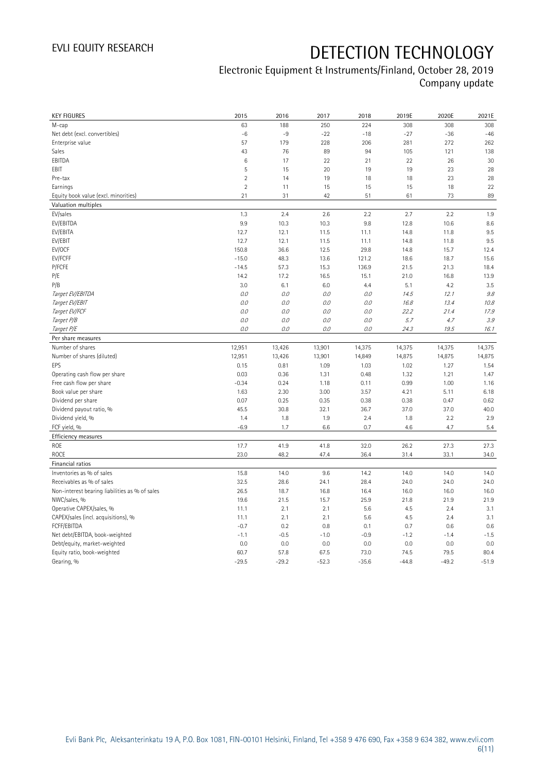## Electronic Equipment & Instruments/Finland, October 28, 2019 Company update

| <b>KEY FIGURES</b>                             | 2015            | 2016            | 2017            | 2018            | 2019E           | 2020E           | 2021E           |
|------------------------------------------------|-----------------|-----------------|-----------------|-----------------|-----------------|-----------------|-----------------|
| M-cap                                          | 63              | 188             | 250             | 224             | 308             | 308             | 308             |
| Net debt (excl. convertibles)                  | $-6$            | $-9$            | $-22$           | $-18$           | $-27$           | $-36$           | $-46$           |
| Enterprise value                               | 57              | 179             | 228             | 206             | 281             | 272             | 262             |
| Sales                                          | 43              | 76              | 89              | 94              | 105             | 121             | 138             |
| EBITDA                                         | 6               | 17              | 22              | 21              | 22              | 26              | 30              |
| EBIT                                           | 5               | 15              | 20              | 19              | 19              | 23              | 28              |
| Pre-tax                                        | $\overline{2}$  | 14              | 19              | 18              | 18              | 23              | 28              |
| Earnings                                       | $\overline{2}$  | 11              | 15              | 15              | 15              | 18              | 22              |
| Equity book value (excl. minorities)           | 21              | 31              | 42              | 51              | 61              | 73              | 89              |
| Valuation multiples                            |                 |                 |                 |                 |                 |                 |                 |
| EV/sales                                       | 1.3             | 2.4             | 2.6             | 2.2             | 2.7             | 2.2             | 1.9             |
| EV/EBITDA                                      | 9.9             | 10.3            | 10.3            | 9.8             | 12.8            | 10.6            | 8.6             |
| EV/EBITA                                       | 12.7            | 12.1            | 11.5            | 11.1            | 14.8            | 11.8            | 9.5             |
| EV/EBIT                                        | 12.7            | 12.1            | 11.5            | 11.1            | 14.8            | 11.8            | 9.5             |
| EV/OCF                                         | 150.8           | 36.6            | 12.5            | 29.8            | 14.8            | 15.7            | 12.4            |
| EV/FCFF                                        | $-15.0$         | 48.3            | 13.6            | 121.2           | 18.6            | 18.7            | 15.6            |
| P/FCFE                                         | $-14.5$         | 57.3            | 15.3            | 136.9           | 21.5            | 21.3            | 18.4            |
| P/E                                            | 14.2            | 17.2            | 16.5            | 15.1            | 21.0            | 16.8            | 13.9            |
| P/B                                            | 3.0             | 6.1             | 6.0             | 4.4             | 5.1             | 4.2             | 3.5             |
| Target EV/EBITDA                               | O.O             | 0.0             | 0.0             | 0.0             | 14.5            | 12.1            | 9.8             |
| Target EV/EBIT                                 | O.O             | 0.0             | 0.0             | 0.0             | 16.8            | 13.4            | 10.8            |
| Target EV/FCF                                  | O.O             | 0.0             | 0.0             | $O.O$           | 22.2            | 21.4            | 17.9            |
| Target P/B                                     | $O.O$           | $O.O$           | 0.0             | $O.O$           | 5.7             | 4.7             | 3.9             |
| Target P/E                                     | $0.0$           | 0.0             | 0.0             | $O.O$           | 24.3            | 19.5            | 16.1            |
| Per share measures                             |                 |                 |                 |                 |                 |                 |                 |
|                                                |                 |                 |                 |                 |                 |                 |                 |
|                                                |                 |                 |                 |                 |                 |                 |                 |
| Number of shares                               | 12,951          | 13,426          | 13,901          | 14,375          | 14,375          | 14,375          | 14,375          |
| Number of shares (diluted)                     | 12,951          | 13,426          | 13,901          | 14,849          | 14,875          | 14,875          | 14,875          |
| EPS                                            | 0.15            | 0.81            | 1.09            | 1.03            | 1.02            | 1.27            | 1.54            |
| Operating cash flow per share                  | 0.03            | 0.36            | 1.31            | 0.48            | 1.32            | 1.21            | 1.47            |
| Free cash flow per share                       | $-0.34$         | 0.24            | 1.18            | 0.11            | 0.99            | 1.00            | 1.16            |
| Book value per share                           | 1.63            | 2.30            | 3.00            | 3.57            | 4.21            | 5.11            | 6.18            |
| Dividend per share                             | 0.07            | 0.25            | 0.35            | 0.38            | 0.38            | 0.47            | 0.62            |
| Dividend payout ratio, %                       | 45.5            | 30.8            | 32.1            | 36.7            | 37.0            | 37.0            | 40.0            |
| Dividend yield, %                              | 1.4             | 1.8             | 1.9             | 2.4             | 1.8             | 2.2             | 2.9             |
| FCF yield, %                                   | $-6.9$          | 1.7             | 6.6             | 0.7             | 4.6             | 4.7             | 5.4             |
| Efficiency measures                            |                 |                 |                 |                 |                 |                 |                 |
| <b>ROE</b>                                     | 17.7            | 41.9            | 41.8            | 32.0            | 26.2            | 27.3            | 27.3            |
| <b>ROCE</b>                                    | 23.0            | 48.2            | 47.4            | 36.4            | 31.4            | 33.1            | 34.0            |
| Financial ratios                               |                 |                 |                 |                 |                 |                 |                 |
| Inventories as % of sales                      | 15.8            | 14.0            | 9.6             | 14.2            | 14.0            | 14.0            | 14.0            |
| Receivables as % of sales                      | 32.5            | 28.6            | 24.1            | 28.4            | 24.0            | 24.0            | 24.0            |
| Non-interest bearing liabilities as % of sales | 26.5            | 18.7            | 16.8            | 16.4            | 16.0            | 16.0            | 16.0            |
| NWC/sales, %                                   | 19.6            | 21.5            | 15.7            | 25.9            | 21.8            | 21.9            | 21.9            |
| Operative CAPEX/sales, %                       | 11.1            | 2.1             | 2.1             | 5.6             | 4.5             | 2.4             | 3.1             |
| CAPEX/sales (incl. acquisitions), %            | 11.1            | 2.1             | 2.1             | 5.6             | 4.5             | 2.4             | 3.1             |
| FCFF/EBITDA                                    | $-0.7$          | 0.2             | 0.8             | 0.1             | 0.7             | 0.6             | 0.6             |
| Net debt/EBITDA, book-weighted                 | $-1.1$          | $-0.5$          | $-1.0$          | $-0.9$          | $-1.2$          | $-1.4$          | $-1.5$          |
| Debt/equity, market-weighted                   | 0.0             | 0.0             | 0.0             | 0.0             | 0.0             | 0.0             | 0.0             |
| Equity ratio, book-weighted<br>Gearing, %      | 60.7<br>$-29.5$ | 57.8<br>$-29.2$ | 67.5<br>$-52.3$ | 73.0<br>$-35.6$ | 74.5<br>$-44.8$ | 79.5<br>$-49.2$ | 80.4<br>$-51.9$ |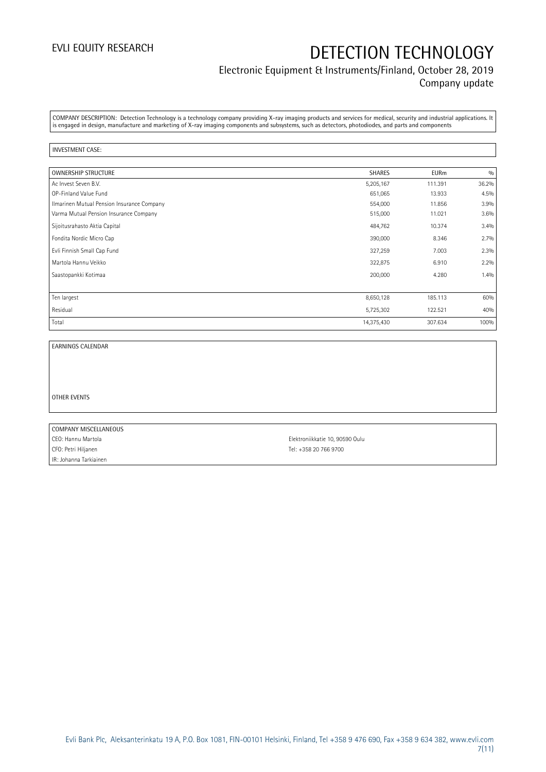### Electronic Equipment & Instruments/Finland, October 28, 2019 Company update

COMPANY DESCRIPTION: Detection Technology is a technology company providing X-ray imaging products and services for medical, security and industrial applications. It is engaged in design, manufacture and marketing of X-ray imaging components and subsystems, such as detectors, photodiodes, and parts and components

#### INVESTMENT CASE:

| OWNERSHIP STRUCTURE                        | <b>SHARES</b> | <b>EURm</b> | 0/0   |
|--------------------------------------------|---------------|-------------|-------|
| Ac Invest Seven B.V.                       | 5,205,167     | 111.391     | 36.2% |
| OP-Finland Value Fund                      | 651,065       | 13.933      | 4.5%  |
| Ilmarinen Mutual Pension Insurance Company | 554,000       | 11.856      | 3.9%  |
| Varma Mutual Pension Insurance Company     | 515,000       | 11.021      | 3.6%  |
| Sijoitusrahasto Aktia Capital              | 484,762       | 10.374      | 3.4%  |
| Fondita Nordic Micro Cap                   | 390,000       | 8.346       | 2.7%  |
| Evli Finnish Small Cap Fund                | 327,259       | 7.003       | 2.3%  |
| Martola Hannu Veikko                       | 322,875       | 6.910       | 2.2%  |
| Saastopankki Kotimaa                       | 200,000       | 4.280       | 1.4%  |
|                                            |               |             |       |
| Ten largest                                | 8,650,128     | 185.113     | 60%   |
| Residual                                   | 5,725,302     | 122.521     | 40%   |
| Total                                      | 14,375,430    | 307.634     | 100%  |

EARNINGS CALENDAR

OTHER EVENTS

COMPANY MISCELLANEOUS CEO: Hannu Martola Elektroniikkatie 10, 90590 Oulu CFO: Petri Hiljanen Tel: +358 20 766 9700 IR: Johanna Tarkiainen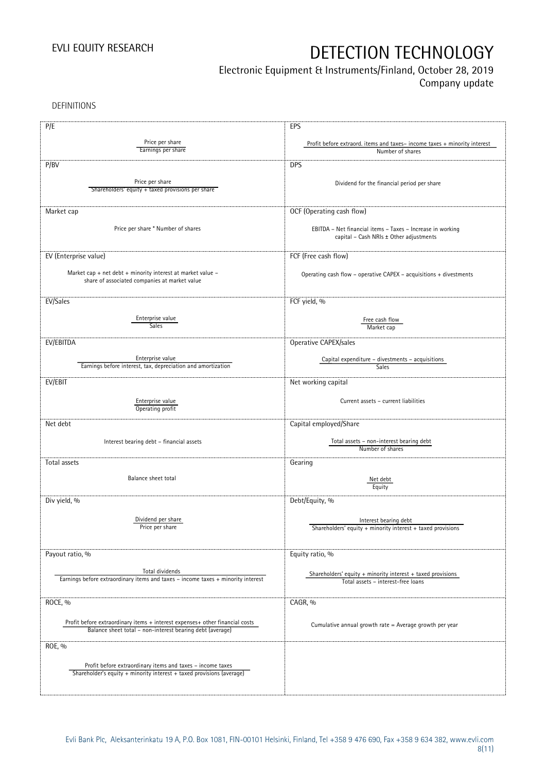## Electronic Equipment & Instruments/Finland, October 28, 2019

Company update

DEFINITIONS

| P/E                                                                                                                                       | EPS                                                                                                   |
|-------------------------------------------------------------------------------------------------------------------------------------------|-------------------------------------------------------------------------------------------------------|
| Price per share<br>Earnings per share                                                                                                     | Profit before extraord. items and taxes-income taxes + minority interest<br>Number of shares          |
| P/BV                                                                                                                                      | <b>DPS</b>                                                                                            |
|                                                                                                                                           |                                                                                                       |
| Price per share<br>Shareholders' equity + taxed provisions per share                                                                      | Dividend for the financial period per share                                                           |
| Market cap                                                                                                                                | OCF (Operating cash flow)                                                                             |
| Price per share * Number of shares                                                                                                        | EBITDA - Net financial items - Taxes - Increase in working<br>capital - Cash NRIs ± Other adjustments |
| EV (Enterprise value)                                                                                                                     | FCF (Free cash flow)                                                                                  |
| Market cap + net debt + minority interest at market value $-$<br>share of associated companies at market value                            | Operating cash flow - operative CAPEX - acquisitions + divestments                                    |
| EV/Sales                                                                                                                                  | FCF yield, %                                                                                          |
| Enterprise value<br>Sales                                                                                                                 | Free cash flow<br>Market cap                                                                          |
| EV/EBITDA                                                                                                                                 | Operative CAPEX/sales                                                                                 |
| Enterprise value<br>Earnings before interest, tax, depreciation and amortization                                                          | Capital expenditure - divestments - acquisitions<br>Sales                                             |
| EV/EBIT                                                                                                                                   | Net working capital                                                                                   |
| Enterprise value<br>Operating profit                                                                                                      | Current assets - current liabilities                                                                  |
| Net debt                                                                                                                                  | Capital employed/Share                                                                                |
| Interest bearing debt - financial assets                                                                                                  | Total assets - non-interest bearing debt<br>Number of shares                                          |
| Total assets                                                                                                                              | Gearing                                                                                               |
| Balance sheet total                                                                                                                       | Net debt<br>Equity                                                                                    |
| Div yield, %                                                                                                                              | Debt/Equity, %                                                                                        |
| Dividend per share<br>Price per share                                                                                                     | Interest bearing debt<br>Shareholders' equity + minority interest + taxed provisions                  |
| Payout ratio, %                                                                                                                           | Equity ratio, %                                                                                       |
| Total dividends<br>Earnings before extraordinary items and taxes - income taxes + minority interest                                       | Shareholders' equity $+$ minority interest $+$ taxed provisions<br>Total assets - interest-free loans |
| ROCE, %                                                                                                                                   | CAGR, %                                                                                               |
| Profit before extraordinary items + interest expenses+ other financial costs<br>Balance sheet total - non-interest bearing debt (average) | Cumulative annual growth rate = Average growth per year                                               |
| ROE, %                                                                                                                                    |                                                                                                       |
| Profit before extraordinary items and taxes - income taxes<br>Shareholder's equity + minority interest + taxed provisions (average)       |                                                                                                       |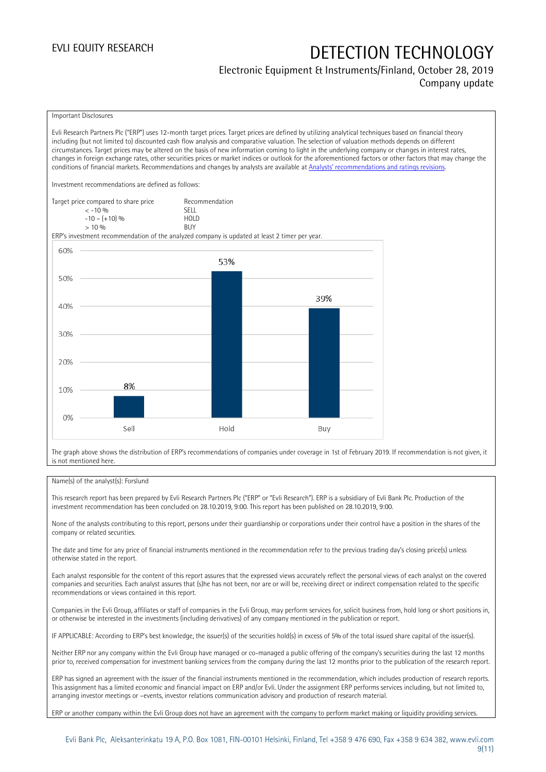### Electronic Equipment & Instruments/Finland, October 28, 2019 Company update

#### Important Disclosures

Evli Research Partners Plc ("ERP") uses 12-month target prices. Target prices are defined by utilizing analytical techniques based on financial theory including (but not limited to) discounted cash flow analysis and comparative valuation. The selection of valuation methods depends on different circumstances. Target prices may be altered on the basis of new information coming to light in the underlying company or changes in interest rates, changes in foreign exchange rates, other securities prices or market indices or outlook for the aforementioned factors or other factors that may change the conditions of financial markets. Recommendations and changes by analysts are available at [Analysts' recommendations and ratings revisions](https://research.evli.com/JasperAllModels.action?authParam=key;461&authParam=x;G3rNagWrtf7K&authType=3). Investment recommendations are defined as follows: Target price compared to share price Recommendation<br>CELL CALLO 06 < -10 % SELL  $-10 - (+10) \%$  HOL<br>  $> 10 \%$  $> 10\%$ ERP's investment recommendation of the analyzed company is updated at least 2 timer per year. 60% 53% 50% 39% 40% 30% 20% 8%

The graph above shows the distribution of ERP's recommendations of companies under coverage in 1st of February 2019. If recommendation is not given, it is not mentioned here.

Buy

#### Name(s) of the analyst(s): Forslund

Sell

10%

 $0%$ 

This research report has been prepared by Evli Research Partners Plc ("ERP" or "Evli Research"). ERP is a subsidiary of Evli Bank Plc. Production of the investment recommendation has been concluded on 28.10.2019, 9:00. This report has been published on 28.10.2019, 9:00.

Hold

None of the analysts contributing to this report, persons under their guardianship or corporations under their control have a position in the shares of the company or related securities.

The date and time for any price of financial instruments mentioned in the recommendation refer to the previous trading day's closing price(s) unless otherwise stated in the report.

Each analyst responsible for the content of this report assures that the expressed views accurately reflect the personal views of each analyst on the covered companies and securities. Each analyst assures that (s)he has not been, nor are or will be, receiving direct or indirect compensation related to the specific recommendations or views contained in this report.

Companies in the Evli Group, affiliates or staff of companies in the Evli Group, may perform services for, solicit business from, hold long or short positions in, or otherwise be interested in the investments (including derivatives) of any company mentioned in the publication or report.

IF APPLICABLE: According to ERP's best knowledge, the issuer(s) of the securities hold(s) in excess of 5% of the total issued share capital of the issuer(s).

Neither ERP nor any company within the Evli Group have managed or co-managed a public offering of the company's securities during the last 12 months prior to, received compensation for investment banking services from the company during the last 12 months prior to the publication of the research report.

ERP has signed an agreement with the issuer of the financial instruments mentioned in the recommendation, which includes production of research reports. This assignment has a limited economic and financial impact on ERP and/or Evli. Under the assignment ERP performs services including, but not limited to, arranging investor meetings or –events, investor relations communication advisory and production of research material.

ERP or another company within the Evli Group does not have an agreement with the company to perform market making or liquidity providing services.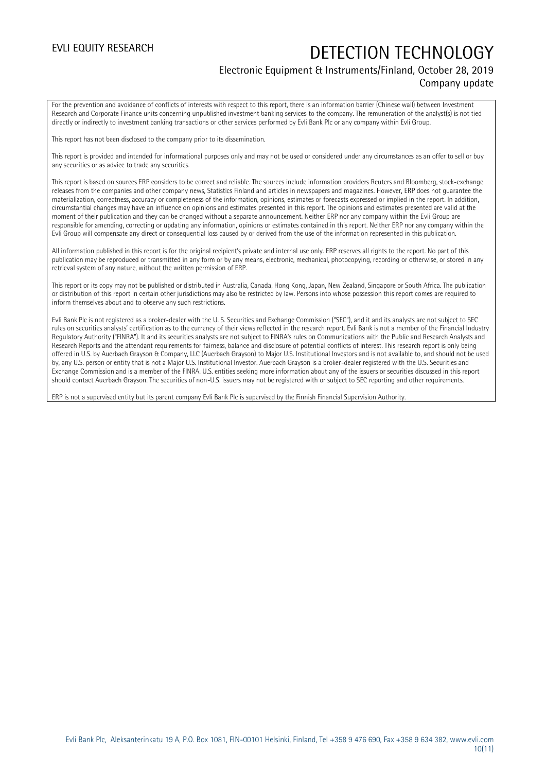### Electronic Equipment & Instruments/Finland, October 28, 2019 Company update

For the prevention and avoidance of conflicts of interests with respect to this report, there is an information barrier (Chinese wall) between Investment Research and Corporate Finance units concerning unpublished investment banking services to the company. The remuneration of the analyst(s) is not tied directly or indirectly to investment banking transactions or other services performed by Evli Bank Plc or any company within Evli Group.

This report has not been disclosed to the company prior to its dissemination.

This report is provided and intended for informational purposes only and may not be used or considered under any circumstances as an offer to sell or buy any securities or as advice to trade any securities.

This report is based on sources ERP considers to be correct and reliable. The sources include information providers Reuters and Bloomberg, stock-exchange releases from the companies and other company news, Statistics Finland and articles in newspapers and magazines. However, ERP does not guarantee the materialization, correctness, accuracy or completeness of the information, opinions, estimates or forecasts expressed or implied in the report. In addition, circumstantial changes may have an influence on opinions and estimates presented in this report. The opinions and estimates presented are valid at the moment of their publication and they can be changed without a separate announcement. Neither ERP nor any company within the Evli Group are responsible for amending, correcting or updating any information, opinions or estimates contained in this report. Neither ERP nor any company within the Evli Group will compensate any direct or consequential loss caused by or derived from the use of the information represented in this publication.

All information published in this report is for the original recipient's private and internal use only. ERP reserves all rights to the report. No part of this publication may be reproduced or transmitted in any form or by any means, electronic, mechanical, photocopying, recording or otherwise, or stored in any retrieval system of any nature, without the written permission of ERP.

This report or its copy may not be published or distributed in Australia, Canada, Hong Kong, Japan, New Zealand, Singapore or South Africa. The publication or distribution of this report in certain other jurisdictions may also be restricted by law. Persons into whose possession this report comes are required to inform themselves about and to observe any such restrictions.

Evli Bank Plc is not registered as a broker-dealer with the U. S. Securities and Exchange Commission ("SEC"), and it and its analysts are not subject to SEC rules on securities analysts' certification as to the currency of their views reflected in the research report. Evli Bank is not a member of the Financial Industry Regulatory Authority ("FINRA"). It and its securities analysts are not subject to FINRA's rules on Communications with the Public and Research Analysts and Research Reports and the attendant requirements for fairness, balance and disclosure of potential conflicts of interest. This research report is only being offered in U.S. by Auerbach Grayson & Company, LLC (Auerbach Grayson) to Major U.S. Institutional Investors and is not available to, and should not be used by, any U.S. person or entity that is not a Major U.S. Institutional Investor. Auerbach Grayson is a broker-dealer registered with the U.S. Securities and Exchange Commission and is a member of the FINRA. U.S. entities seeking more information about any of the issuers or securities discussed in this report should contact Auerbach Grayson. The securities of non-U.S. issuers may not be registered with or subject to SEC reporting and other requirements.

ERP is not a supervised entity but its parent company Evli Bank Plc is supervised by the Finnish Financial Supervision Authority.